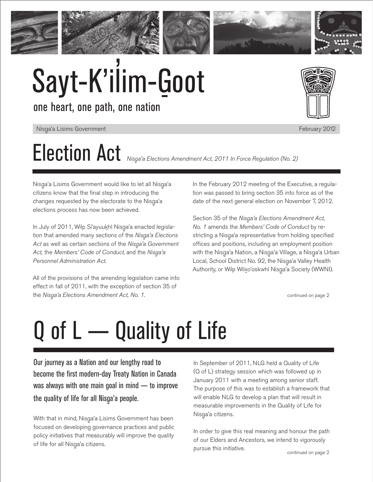# Sayt-K'ilim-Goot

one heart, one path, one nation

Nisga'a Lisims Government and a structure of the structure of the structure of the structure of the structure of the structure of the structure of the structure of the structure of the structure of the structure of the str

### **Election Act** *a'a Elections Amendment Act, 2011 In Force Regulation (No. 2)*

Nisga'a Lisims Government would like to let all Nisga'a<br>... citizens know that the final step in introducing the changes requested by the electorate to the Nisga'a elections process has now been achieved.

In July of 2011, Wilp Si'ayuukhl Nisga'a enacted legisla-<br>' tion that amended many sections of the *Nisg-a'a Elections*  Act as well as certain sections of the *Nisga'a Government Act, the Members' Code of Conduct, and the Nisga'a Personnel Administration Act*.

All of the provisions of the amending legislation came into effect in fall of 2011, with the exception of section 35 of the *Nisg-a'a Elections Amendment Act, No. 1*.

In the February 2012 meeting of the Executive, a regulation was passed to bring section 35 into force as of the date of the next general election on November 7, 2012.

Section 35 of the *Nisga'a Elections Amendment Act,*<br> *A No. 1* amends the *Members' Code of Conduct* by restricting a Nisga'a representative from holding specified<br>
intervals offices and positions, including an employment position with the Nisga'a Nation, a Nisga'a Village, a Nisga'a Urban<br>Land Galach Nation, a Nisga'a Village, a Nisga'a Urban Local, School District No. 92, the Nisga'a Valley Health<br>And Walley Martin Martin Links of Controlly (1994) Authority, or Wilp Wil<u>x</u>o'oskwhl Nisga'a Society (WWNI).

continued on page 2

## Q of L — Quality of Life

Our journey as a Nation and our lengthy road to become the first modern-day Treaty Nation in Canada was always with one main goal in mind —— to improve the quality of life for all Nisga'a people.<br>'

With that in mind, Nisga'a Lisims Government has been<br>' focused on developing governance practices and public policy initiatives that measurably will improve the quality of life for all Nisga'a citizens.<br>'

In September of 2011, NLG held a Quality of Life (Q of L) strategy session which was followed up in January 2011 with a meeting among senior staff. The purpose of this was to establish a framework that will enable NLG to develop a plan that will result in measurable improvements in the Quality of Life for Nisga'a citizens.

In order to give this real meaning and honour the path of our Elders and Ancestors, we intend to vigorously pursue this initiative.



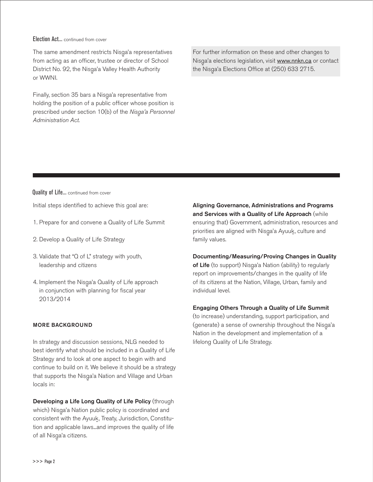### Election Act... continued from cover

The same amendment restricts Nisga'a representatives<br>And Alice Contract Contract Contract Contract Contract Contract Contract Contract Contract Contract Contract Co from acting as an officer, trustee or director of School District No. 92, the Nisga'a Valley Health Authority<br>MAANU or WWNI.

Finally, section 35 bars a Nisga'a representative from<br>Lattically holding the position of a public officer whose position is prescribed under section 10(b) of the *Nisga'a Personnel Administration Act*.

For further information on these and other changes to Nisga'a elections legislation, visit www.nnkn.ca or contact<br>"Aliment" CITA CITA (OFO) COO OF15 the Nisga'a Elections Office at (250) 633 2715.<br>'

### **Quality of Life...** continued from cover

Initial steps identified to achieve this goal are:

- 1. Prepare for and convene a Quality of Life Summit
- 2. Develop a Quality of Life Strategy
- 3. Validate that "Q of L" strategy with youth, leadership and citizens
- 4. Implement the Nisga'a Quality of Life approach in conjunction with planning for fiscal year 2013/2014

### MORE BACKGROUND

In strategy and discussion sessions, NLG needed to best identify what should be included in a Quality of Life Strategy and to look at one aspect to begin with and continue to build on it. We believe it should be a strategy that supports the Nisga'a Nation and Village and Urban<br>' locals in:

Developing a Life Long Quality of Life Policy (through which) Nisg-a'a Nation public policy is coordinated and consistent with the Ayuuk, Treaty, Jurisdiction, Constitution and applicable laws...and improves the quality of life of all Nisga'a citizens.<br>'

Aligning Governance, Administrations and Programs and Services with a Quality of Life Approach (while ensuring that) Government, administration, resources and priorities are aligned with Nisga'a Ayuuk, culture and<br>' family values.

Documenting/Measuring/Proving Changes in Quality of Life (to support) Nisga'a Nation (ability) to regularly report on improvements/changes in the quality of life of its citizens at the Nation, Village, Urban, family and individual level.

### Engaging Others Through a Quality of Life Summit

(to increase) understanding, support participation, and (generate) a sense of ownership throughout the Nisga'a<br>Alati Nation in the development and implementation of a lifelong Quality of Life Strategy.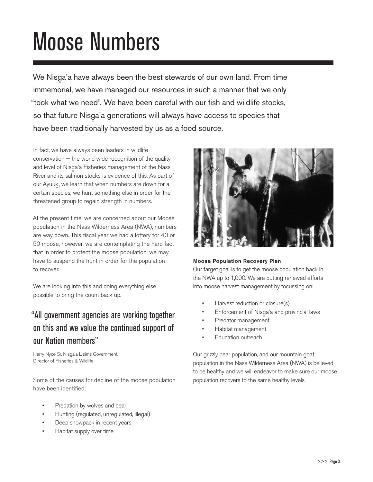## Moose Numbers

We Nisga'a have always been the best stewards of our own land. From time immemorial, we have managed our resources in such a manner that we only "took what we need". We have been careful with our fish and wildlife stocks, so that future Nisga'a generations will always have access to species that have been traditionally harvested by us as a food source.

In fact, we have always been leaders in wildlife  $\cos$  conservation  $-$  the world wide recognition of the quality and level of Nisga'a Fisheries management of the Nass<br>Pi River and its salmon stocks is evidence of this. As part of our Ayuuk, we learn that when numbers are down for a certain species, we hunt something else in order for the threatened group to regain strength in numbers.

At the present time, we are concerned about our Moose population in the Nass Wilderness Area (NWA), numbers are way down. This fiscal year we had a lottery for 40 or 50 moose, however, we are contemplating the hard fact that in order to protect the moose population, we may have to suspend the hunt in order for the population to recover.

We are looking into this and doing everything else possible to bring the count back up.

### "All government agencies are working together on this and we value the continued support of our Nation members"

Harry Nyce Sr. Nisga'a Lisims Government,<br>Director of Fishering & Wildlife Director of Fisheries & Wildlife.

Some of the causes for decline of the moose population have been identified:

- Predation by wolves and bear
- Hunting (regulated, unregulated, illegal)
- Deep snowpack in recent years
- Habitat supply over time



### Moose Population Recovery Plan

Our target goal is to get the moose population back in the NWA up to 1,000. We are putting renewed efforts into moose harvest management by focussing on:

- Harvest reduction or closure(s)
- Enforcement of Nisga'a and provincial laws
- Predator management
- Habitat management
- **Education outreach**

Our grizzly bear population, and our mountain goat population in the Nass Wilderness Area (NWA) is believed to be healthy and we will endeavor to make sure our moose population recovers to the same healthy levels.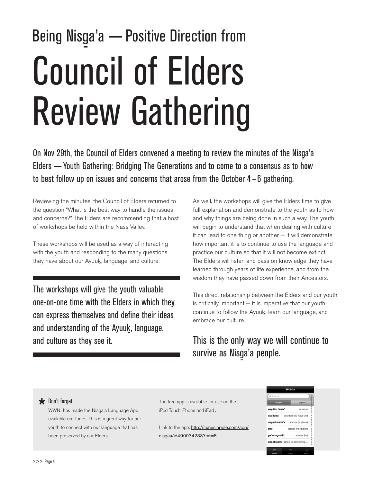## Being Nisga'a — Positive Direction from Council of Elders Review Gathering

On Nov 29th, the Council of Elders convened a meeting to review the minutes of the Nisga'a<br>Fideology of the Council of Path to FineOccupy in the council of the control of the council of the control of Elders —— Youth Gathering: Bridging The Generations and to come to a consensus as to how to best follow up on issues and concerns that arose from the October 4–6 gathering.

Reviewing the minutes, the Council of Elders returned to the question "What is the best way to handle the issues and concerns?" The Elders are recommending that a host of workshops be held within the Nass Valley.

These workshops will be used as a way of interacting with the youth and responding to the many questions they have about our Ayuuk, language, and culture.

The workshops will give the youth valuable one-on-one time with the Elders in which they can express themselves and define their ideas and understanding of the Ayuuk, language, and culture as they see it.

As well, the workshops will give the Elders time to give full explanation and demonstrate to the youth as to how and why things are being done in such a way. The youth will begin to understand that when dealing with culture it can lead to one thing or another  $-$  it will demonstrate how important it is to continue to use the language and practice our culture so that it will not become extinct. The Elders will listen and pass on knowledge they have learned through years of life experience, and from the wisdom they have passed down from their Ancestors.

This direct relationship between the Elders and our youth is critically important  $-$  it is imperative that our youth continue to follow the Ayuuk, learn our language, and embrace our culture.

### This is the only way we will continue to survive as Nisga'a people.<br>'

### Don't forget

WWNI has made the Nisga'a Language App available on iTunes. This is a great way for our youth to connect with our language that has been preserved by our Elders.

The free app is available for use on the iPod Touch,iPhone and iPad .

Link to the app: http://itunes.apple.com/app/ nisgaa/id490034233?mt=8

| Words                         |                       |                         |
|-------------------------------|-----------------------|-------------------------|
| Q Search                      |                       | Q<br>A                  |
| Nisga'a                       | English               | D                       |
| qaydim t'ukw'                 | a tuque               | Ĥ                       |
| asdiiwaal                     | accident (to have an) | Ĵ<br>ĸ                  |
| angadoosda'a across (a place) |                       | M<br>$\frac{N}{O}$      |
| xts'i                         | across the middle     | P<br>Q<br>$\frac{R}{S}$ |
| ga'amsgat(di)                 | admire (to)           | $10 - 5$                |
| anook'askw agree to something |                       | #N <x< td=""></x<>      |
|                               |                       |                         |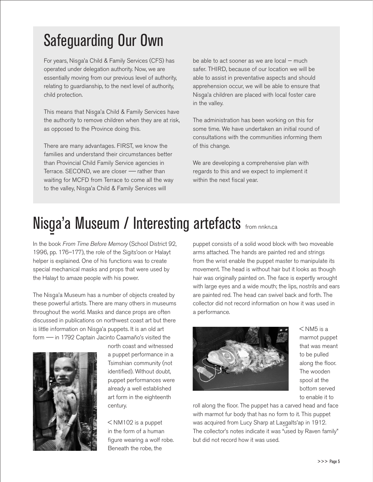### Safeguarding Our Own

For years, Nisga'a Child & Family Services (CFS) has<br>All and the child of the child of the child of the child of the child of the child of the child of the child o operated under delegation authority. Now, we are essentially moving from our previous level of authority, relating to guardianship, to the next level of authority, child protection.

This means that Nisga'a Child & Family Services have<br>'' the authority to remove children when they are at risk, as opposed to the Province doing this.

There are many advantages. FIRST, we know the families and understand their circumstances better than Provincial Child Family Service agencies in Terrace. SECOND, we are closer —— rather than waiting for MCFD from Terrace to come all the way to the valley, Nisga'a Child & Family Services will

be able to act sooner as we are local — much safer. THIRD, because of our location we will be able to assist in preventative aspects and should apprehension occur, we will be able to ensure that Nisga'a children are placed with local foster care<br>. . . . . . . . . in the valley.

The administration has been working on this for some time. We have undertaken an initial round of consultations with the communities informing them of this change.

We are developing a comprehensive plan with regards to this and we expect to implement it within the next fiscal year.

## Nisga'a Museum / Interesting artefacts from nnkn.ca

In the book *From Time Before Memory* (School District 92, 1996, pp. 176–177), the role of the Sigits'oon or Halayt helper is explained. One of his functions was to create special mechanical masks and props that were used by the Halayt to amaze people with his power.

The Nisga'a Museum has a number of objects created by<br>'' these powerful artists. There are many others in museums throughout the world. Masks and dance props are often discussed in publications on northwest coast art but there is little information on Nisga'a puppets. It is an old art<br> form —— in 1792 Captain Jacinto Caamaño's visited the



north coast and witnessed a puppet performance in a Tsimshian community (not identified). Without doubt, puppet performances were already a well established art form in the eighteenth century.

< NM102 is a puppet in the form of a human figure wearing a wolf robe. Beneath the robe, the

puppet consists of a solid wood block with two moveable arms attached. The hands are painted red and strings from the wrist enable the puppet master to manipulate its movement. The head is without hair but it looks as though hair was originally painted on. The face is expertly wrought with large eyes and a wide mouth; the lips, nostrils and ears are painted red. The head can swivel back and forth. The collector did not record information on how it was used in a performance.



 $<$  NM5 is a marmot puppet that was meant to be pulled along the floor. The wooden spool at the bottom served to enable it to

roll along the floor. The puppet has a carved head and face with marmot fur body that has no form to it. This puppet was acquired from Lucy Sharp at Laxgalts'ap in 1912. - The collector's notes indicate it was "used by Raven family" but did not record how it was used.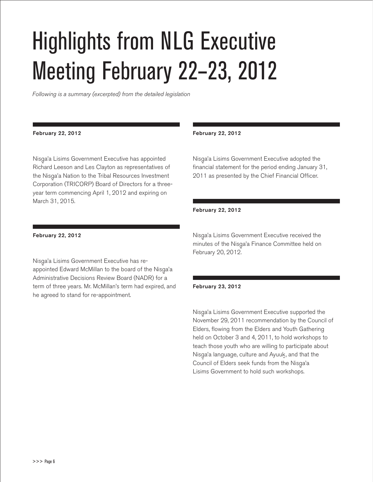## Highlights from NLG Executive Meeting February 22–23, 2012

*Following is a summary (excerpted) from the detailed legislation*

### February 22, 2012

Nisga'a Lisims Government Executive has appointed<br>Bidden Handels Richard Leeson and Les Clayton as representatives of the Nisga'a Nation to the Tribal Resources Investment<br>C Corporation (TRICORP) Board of Directors for a threeyear term commencing April 1, 2012 and expiring on March 31, 2015.

### February 22, 2012

Nisga'a Lisims Government Executive has reappointed Edward McMillan to the board of the Nisga'a<br>Administrative Demonstrative Demonstrative Administrative Decisions Review Board (NADR) for a term of three years. Mr. McMillan's term had expired, and he agreed to stand for re-appointment.

February 22, 2012

Nisg-a'a Lisims Government Executive adopted the financial statement for the period ending January 31, 2011 as presented by the Chief Financial Officer.

### February 22, 2012

Nisga'a Lisims Government Executive received the<br>Alberta Constitution of the United States of the United States minutes of the Nisga'a Finance Committee held on<br>F + 0000010 February 20, 2012.

### February 23, 2012

Nisg-a'a Lisims Government Executive supported the November 29, 2011 recommendation by the Council of Elders, flowing from the Elders and Youth Gathering held on October 3 and 4, 2011, to hold workshops to teach those youth who are willing to participate about Nisga'a language, culture and Ayuuk, and that the Council of Elders seek funds from the Nisga'a<br>' Lisims Government to hold such workshops.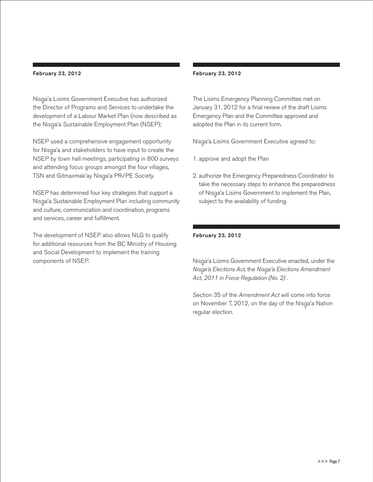### February 23, 2012

Nisg-a'a Lisims Government Executive has authorized the Director of Programs and Services to undertake the development of a Labour Market Plan (now described as the Nisga'a Sustainable Employment Plan (NSEP);<br>.

NSEP used a comprehensive engagement opportunity for Nisga'a and stakeholders to have input to create the<br>NGE BLACK LILING COMPANY NSEP by town hall meetings, participating in 800 surveys and attending focus groups amongst the four villages, TSN and Gitmaxmak'ay Nisga'a PR/PE Society.<br>'

NSEP has determined four key strategies that support a Nisg-a'a Sustainable Employment Plan including community and culture, communication and coordination, programs and services, career and fulfillment.

The development of NSEP also allows NLG to qualify for additional resources from the BC Ministry of Housing and Social Development to implement the training components of NSEP.

### February 23, 2012

The Lisims Emergency Planning Committee met on January 31, 2012 for a final review of the draft Lisims Emergency Plan and the Committee approved and adopted the Plan in its current form.

Nisga'a Lisims Government Executive agreed to:<br>.

1. approve and adopt the Plan

2. authorize the Emergency Preparedness Coordinator to take the necessary steps to enhance the preparedness of Nisga'a Lisims Government to implement the Plan, subject to the availability of funding.

### February 23, 2012

Nisga'a Lisims Government Executive enacted, under the<br>Alimental Clark of the Aliments of Clark of the Aliments *Nisga'a Elections Act*, the *Nisga'a Elections Amendment*<br> *A Act, 2011 in Force Regulation (No. 2) .*

Section 35 of the *Amendment Act* will come into force on November 7, 2012, on the day of the Nisga'a Nation regular election.